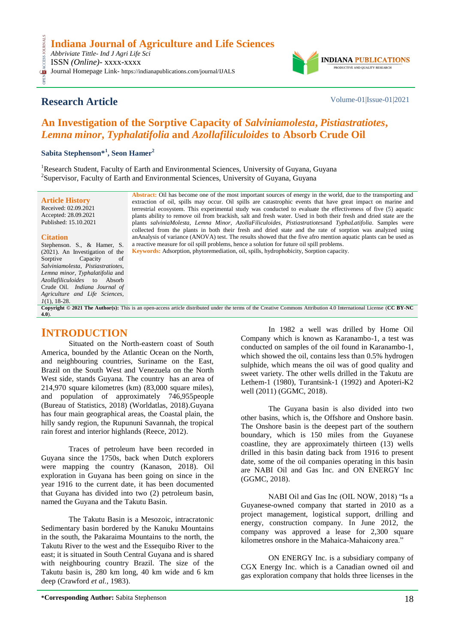

# **Research Article** Volume-01|Issue-01|2021

**CESS** 

# **An Investigation of the Sorptive Capacity of** *Salviniamolesta***,** *Pistiastratiotes***,**  *Lemna minor***,** *Typhalatifolia* **and** *Azollafiliculoides* **to Absorb Crude Oil**

**Sabita Stephenson\*<sup>1</sup> , Seon Hamer<sup>2</sup>**

<sup>1</sup>Research Student, Faculty of Earth and Environmental Sciences, University of Guyana, Guyana <sup>2</sup>Supervisor, Faculty of Earth and Environmental Sciences, University of Guyana, Guyana

**Article History** Received: 02.09.2021 Accepted: 28.09.2021 Published: 15.10.2021

#### **Citation**

**[4.0](https://creativecommons.org/licenses/by-nc/4.0/)**).

Stephenson. S., & Hamer, S. (2021). An Investigation of the Sorptive Capacity of *Salviniamolesta*, *Pistiastratiotes*, *Lemna minor*, *Typhalatifolia* and *Azollafiliculoides* to Absorb Crude Oil. *Indiana Journal of Agriculture and Life Sciences, 1*(1), 18-28 **Copyright © 2021 The Author(s):** This is an open-access article distributed under the terms of the Creative Commons Attribution 4.0 International License (**[CC BY-NC](https://creativecommons.org/licenses/by-nc/4.0/)** 

**Abstract:** Oil has become one of the most important sources of energy in the world, due to the transporting and extraction of oil, spills may occur. Oil spills are catastrophic events that have great impact on marine and terrestrial ecosystem. This experimental study was conducted to evaluate the effectiveness of five (5) aquatic plants ability to remove oil from brackish, salt and fresh water. Used in both their fresh and dried state are the plants *salviniaMolesta, Lemna Minor, AzollaFiliculoides, Pistiastratiotes*and *TyphaLatifolia*. Samples were collected from the plants in both their fresh and dried state and the rate of sorption was analyzed using anAnalysis of variance (ANOVA) test. The results showed that the five afro mention aquatic plants can be used as a reactive measure for oil spill problems, hence a solution for future oil spill problems. **Keywords:** Adsorption, phytoremediation, oil, spills, hydrophobicity, Sorption capacity.

# **INTRODUCTION**

Situated on the North-eastern coast of South America, bounded by the Atlantic Ocean on the North, and neighbouring countries, Suriname on the East, Brazil on the South West and Venezuela on the North West side, stands Guyana. The country has an area of 214,970 square kilometres (km) (83,000 square miles), and population of approximately 746,955people (Bureau of Statistics, 2018) (Worldatlas, 2018).Guyana has four main geographical areas, the Coastal plain, the hilly sandy region, the Rupununi Savannah, the tropical rain forest and interior highlands (Reece, 2012).

Traces of petroleum have been recorded in Guyana since the 1750s, back when Dutch explorers were mapping the country (Kanason, 2018). Oil exploration in Guyana has been going on since in the year 1916 to the current date, it has been documented that Guyana has divided into two (2) petroleum basin, named the Guyana and the Takutu Basin.

The Takutu Basin is a Mesozoic, intracratonic Sedimentary basin bordered by the Kanuku Mountains in the south, the Pakaraima Mountains to the north, the Takutu River to the west and the Essequibo River to the east; it is situated in South Central Guyana and is shared with neighbouring country Brazil. The size of the Takutu basin is, 280 km long, 40 km wide and 6 km deep (Crawford *et al.,* 1983).

In 1982 a well was drilled by Home Oil Company which is known as Karanambo-1, a test was conducted on samples of the oil found in Karanambo-1, which showed the oil, contains less than 0.5% hydrogen sulphide, which means the oil was of good quality and sweet variety. The other wells drilled in the Takutu are Lethem-1 (1980), Turantsink-1 (1992) and Apoteri-K2 well (2011) (GGMC, 2018).

The Guyana basin is also divided into two other basins, which is, the Offshore and Onshore basin. The Onshore basin is the deepest part of the southern boundary, which is 150 miles from the Guyanese coastline, they are approximately thirteen (13) wells drilled in this basin dating back from 1916 to present date, some of the oil companies operating in this basin are NABI Oil and Gas Inc. and ON ENERGY Inc (GGMC, 2018).

NABI Oil and Gas Inc (OIL NOW, 2018) "Is a Guyanese-owned company that started in 2010 as a project management, logistical support, drilling and energy, construction company. In June 2012, the company was approved a lease for 2,300 square kilometres onshore in the Mahaica-Mahaicony area."

ON ENERGY Inc. is a subsidiary company of CGX Energy Inc. which is a Canadian owned oil and gas exploration company that holds three licenses in the

**<sup>\*</sup>Corresponding Author:** Sabita Stephenson 18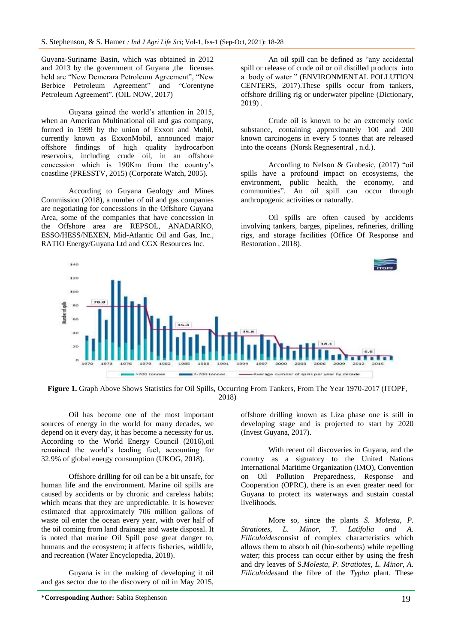Guyana-Suriname Basin, which was obtained in 2012 and 2013 by the government of Guyana ,the licenses held are "New Demerara Petroleum Agreement", "New Berbice Petroleum Agreement" and "Corentyne Petroleum Agreement". (OIL NOW, 2017)

Guyana gained the world's attention in 2015, when an American Multinational oil and gas company, formed in 1999 by the union of Exxon and Mobil, currently known as ExxonMobil, announced major offshore findings of high quality hydrocarbon reservoirs, including crude oil, in an offshore concession which is 190Km from the country's coastline (PRESSTV, 2015) (Corporate Watch, 2005).

According to Guyana Geology and Mines Commission (2018), a number of oil and gas companies are negotiating for concessions in the Offshore Guyana Area, some of the companies that have concession in the Offshore area are REPSOL, ANADARKO, ESSO/HESS/NEXEN, Mid-Atlantic Oil and Gas, Inc., RATIO Energy/Guyana Ltd and CGX Resources Inc.

An oil spill can be defined as "any accidental spill or release of crude oil or oil distilled products into a body of water " (ENVIRONMENTAL POLLUTION CENTERS, 2017).These spills occur from tankers, offshore drilling rig or underwater pipeline (Dictionary, 2019) .

Crude oil is known to be an extremely toxic substance, containing approximately 100 and 200 known carcinogens in every 5 tonnes that are released into the oceans (Norsk Regnesentral , n.d.).

According to Nelson & Grubesic, (2017) "oil spills have a profound impact on ecosystems, the environment, public health, the economy, and communities". An oil spill can occur through anthropogenic activities or naturally.

Oil spills are often caused by accidents involving tankers, barges, pipelines, refineries, drilling rigs, and storage facilities (Office Of Response and Restoration , 2018).



**Figure 1.** Graph Above Shows Statistics for Oil Spills, Occurring From Tankers, From The Year 1970-2017 (ITOPF, 2018)

Oil has become one of the most important sources of energy in the world for many decades, we depend on it every day, it has become a necessity for us. According to the World Energy Council (2016),oil remained the world's leading fuel, accounting for 32.9% of global energy consumption (UKOG, 2018).

Offshore drilling for oil can be a bit unsafe, for human life and the environment. Marine oil spills are caused by accidents or by chronic and careless habits; which means that they are unpredictable. It is however estimated that approximately 706 million gallons of waste oil enter the ocean every year, with over half of the oil coming from land drainage and waste disposal. It is noted that marine Oil Spill pose great danger to, humans and the ecosystem; it affects fisheries, wildlife, and recreation (Water Encyclopedia, 2018).

Guyana is in the making of developing it oil and gas sector due to the discovery of oil in May 2015,

offshore drilling known as Liza phase one is still in developing stage and is projected to start by 2020 (Invest Guyana, 2017).

With recent oil discoveries in Guyana, and the country as a signatory to the United Nations International Maritime Organization (IMO), Convention on Oil Pollution Preparedness, Response and Cooperation (OPRC), there is an even greater need for Guyana to protect its waterways and sustain coastal livelihoods.

More so, since the plants *S. Molesta, P. Stratiotes, L. Minor, T. Latifolia and A. Filiculoides*consist of complex characteristics which allows them to absorb oil (bio-sorbents) while repelling water; this process can occur either by using the fresh and dry leaves of S.*Molesta*, *P. Stratiotes*, *L. Minor, A. Filiculoides*and the fibre of the *Typha* plant. These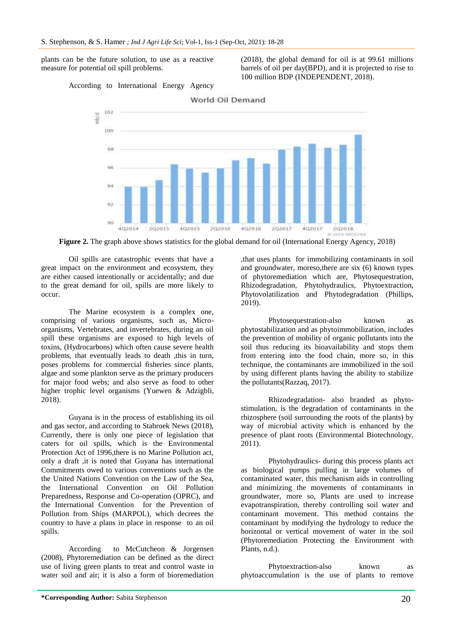plants can be the future solution, to use as a reactive measure for potential oil spill problems.

(2018), the global demand for oil is at 99.61 millions barrels of oil per day(BPD), and it is projected to rise to 100 million BDP (INDEPENDENT, 2018).





**Figure 2.** The graph above shows statistics for the global demand for oil (International Energy Agency, 2018)

Oil spills are catastrophic events that have a great impact on the environment and ecosystem, they are either caused intentionally or accidentally; and due to the great demand for oil, spills are more likely to occur.

The Marine ecosystem is a complex one, comprising of various organisms, such as, Microorganisms, Vertebrates, and invertebrates, during an oil spill these organisms are exposed to high levels of toxins, (Hydrocarbons) which often cause severe health problems, that eventually leads to death ,this in turn, poses problems for commercial fisheries since plants, algae and some plankton serve as the primary producers for major food webs; and also serve as food to other higher trophic level organisms (Yuewen & Adzigbli, 2018).

Guyana is in the process of establishing its oil and gas sector, and according to Stabroek News (2018), Currently, there is only one piece of legislation that caters for oil spills, which is the Environmental Protection Act of 1996,there is no Marine Pollution act, only a draft ,it is noted that Guyana has international Commitments owed to various conventions such as the the United Nations Convention on the Law of the Sea, the International Convention on Oil Pollution Preparedness, Response and Co-operation (OPRC), and the International Convention for the Prevention of Pollution from Ships (MARPOL), which decrees the country to have a plans in place in response to an oil spills.

According to McCutcheon & Jorgensen (2008), Phytoremediation can be defined as the direct use of living green plants to treat and control waste in water soil and air; it is also a form of bioremediation ,that uses plants for immobilizing contaminants in soil and groundwater, moreso,there are six (6) known types of phytoremediation which are, Phytosequestration, Rhizodegradation, Phytohydraulics, Phytoextraction, Phytovolatilization and Phytodegradation (Phillips, 2019).

Phytosequestration-also known as phytostabilization and as phytoimmobilization, includes the prevention of mobility of organic pollutants into the soil thus reducing its bioavailability and stops them from entering into the food chain, more so, in this technique, the contaminants are immobilized in the soil by using different plants having the ability to stabilize the pollutants(Razzaq, 2017).

Rhizodegradation- also branded as phytostimulation, is the degradation of contaminants in the rhizosphere (soil surrounding the roots of the plants) by way of microbial activity which is enhanced by the presence of plant roots (Environmental Biotechnology, 2011).

Phytohydraulics- during this process plants act as biological pumps pulling in large volumes of contaminated water, this mechanism aids in controlling and minimizing the movements of contaminants in groundwater, more so, Plants are used to increase evapotranspiration, thereby controlling soil water and contaminant movement. This method contains the contaminant by modifying the hydrology to reduce the horizontal or vertical movement of water in the soil (Phytoremediation Protecting the Environment with Plants, n.d.).

Phytoextraction-also known as phytoaccumulation is the use of plants to remove

**\*Corresponding Author:** Sabita Stephenson 20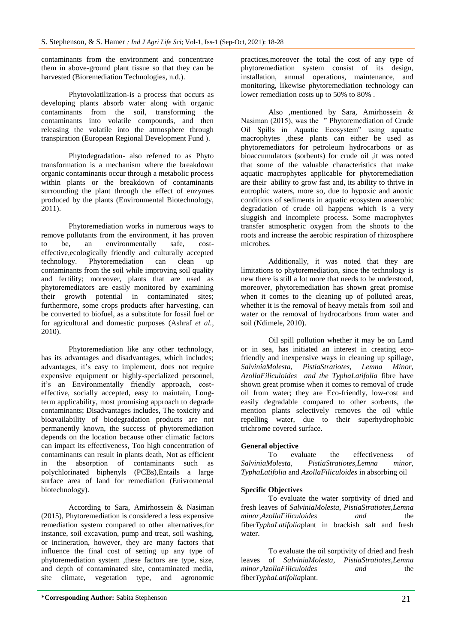contaminants from the environment and concentrate them in above-ground plant tissue so that they can be harvested (Bioremediation Technologies, n.d.).

Phytovolatilization-is a process that occurs as developing plants absorb water along with organic contaminants from the soil, transforming the contaminants into volatile compounds, and then releasing the volatile into the atmosphere through transpiration (European Regional Development Fund ).

Phytodegradation- also referred to as Phyto transformation is a mechanism where the breakdown organic contaminants occur through a metabolic process within plants or the breakdown of contaminants surrounding the plant through the effect of enzymes produced by the plants (Environmental Biotechnology, 2011).

Phytoremediation works in numerous ways to remove pollutants from the environment, it has proven to be, an environmentally safe, costeffective,ecologically friendly and culturally accepted technology. Phytoremediation can clean contaminants from the soil while improving soil quality and fertility; moreover, plants that are used as phytoremediators are easily monitored by examining their growth potential in contaminated sites; furthermore, some crops products after harvesting, can be converted to biofuel, as a substitute for fossil fuel or for agricultural and domestic purposes (Ashraf *et al.,* 2010).

Phytoremediation like any other technology, has its advantages and disadvantages, which includes; advantages, it's easy to implement, does not require expensive equipment or highly-specialized personnel, it's an Environmentally friendly approach, costeffective, socially accepted, easy to maintain, Longterm applicability, most promising approach to degrade contaminants; Disadvantages includes, The toxicity and bioavailability of biodegradation products are not permanently known, the success of phytoremediation depends on the location because other climatic factors can impact its effectiveness, Too high concentration of contaminants can result in plants death, Not as efficient in the absorption of contaminants such as polychlorinated biphenyls (PCBs),Entails a large surface area of land for remediation (Enivromental biotechnology).

According to Sara, Amirhossein & Nasiman (2015), Phytoremediation is considered a less expensive remediation system compared to other alternatives,for instance, soil excavation, pump and treat, soil washing, or incineration, however, they are many factors that influence the final cost of setting up any type of phytoremediation system ,these factors are type, size, and depth of contaminated site, contaminated media, site climate, vegetation type, and agronomic

practices,moreover the total the cost of any type of phytoremediation system consist of its design, installation, annual operations, maintenance, and monitoring, likewise phytoremediation technology can lower remediation costs up to 50% to 80% .

Also ,mentioned by Sara, Amirhossein & Nasiman (2015), was the " Phytoremediation of Crude Oil Spills in Aquatic Ecosystem" using aquatic macrophytes ,these plants can either be used as phytoremediators for petroleum hydrocarbons or as bioaccumulators (sorbents) for crude oil ,it was noted that some of the valuable characteristics that make aquatic macrophytes applicable for phytoremediation are their ability to grow fast and, its ability to thrive in eutrophic waters, more so, due to hypoxic and anoxic conditions of sediments in aquatic ecosystem anaerobic degradation of crude oil happens which is a very sluggish and incomplete process. Some macrophytes transfer atmospheric oxygen from the shoots to the roots and increase the aerobic respiration of rhizosphere microbes.

Additionally, it was noted that they are limitations to phytoremediation, since the technology is new there is still a lot more that needs to be understood, moreover, phytoremediation has shown great promise when it comes to the cleaning up of polluted areas, whether it is the removal of heavy metals from soil and water or the removal of hydrocarbons from water and soil (Ndimele, 2010).

Oil spill pollution whether it may be on Land or in sea, has initiated an interest in creating ecofriendly and inexpensive ways in cleaning up spillage, *SalviniaMolesta, PistiaStratiotes, Lemna Minor, AzollaFiliculoides and the TyphaLatifolia* fibre have shown great promise when it comes to removal of crude oil from water; they are Eco-friendly, low-cost and easily degradable compared to other sorbents, the mention plants selectively removes the oil while repelling water, due to their superhydrophobic trichrome covered surface.

## **General objective**

To evaluate the effectiveness of *SalviniaMolesta, PistiaStratiotes,Lemna minor, TyphaLatifolia* and *AzollaFiliculoides* in absorbing oil

## **Specific Objectives**

To evaluate the water sorptivity of dried and fresh leaves of *SalviniaMolesta, PistiaStratiotes,Lemna minor,AzollaFiliculoides and* the fiber*TyphaLatifolia*plant in brackish salt and fresh water.

To evaluate the oil sorptivity of dried and fresh leaves of *SalviniaMolesta, PistiaStratiotes,Lemna minor,AzollaFiliculoides and* the fiber*TyphaLatifolia*plant.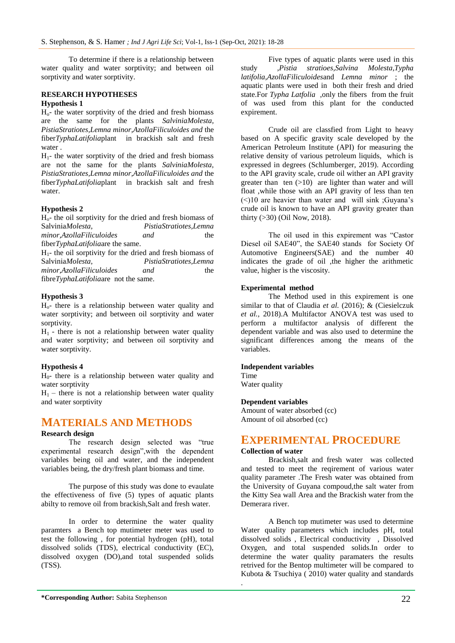To determine if there is a relationship between water quality and water sorptivity; and between oil sorptivity and water sorptivity.

## **RESEARCH HYPOTHESES**

#### **Hypothesis 1**

Ho- the water sorptivity of the dried and fresh biomass are the same for the plants *SalviniaMolesta, PistiaStratiotes,Lemna minor,AzollaFiliculoides and* the fiber*TyphaLatifolia*plant in brackish salt and fresh water .

 $H_1$ - the water sorptivity of the dried and fresh biomass are not the same for the plants *SalviniaMolesta, PistiaStratiotes,Lemna minor,AzollaFiliculoides and* the fiber*TyphaLatifolia*plant in brackish salt and fresh water.

## **Hypothesis 2**

 $H_0$ <sup>-</sup> the oil sorptivity for the dried and fresh biomass of Salvinia*Molesta*. *PistiaStratiotes.Lemna*  $PistiaStratiotes, Lemma$ *minor,AzollaFiliculoides and* the fiber*TyphaLatifolia*are the same.

 $H_1$ - the oil sorptivity for the dried and fresh biomass of Salvinia*Molesta, PistiaStratiotes,Lemna minor,AzollaFiliculoides and* the fibre*TyphaLatifolia*are not the same.

### **Hypothesis 3**

Ho- there is a relationship between water quality and water sorptivity; and between oil sorptivity and water sorptivity.

 $H<sub>1</sub>$  - there is not a relationship between water quality and water sorptivity; and between oil sorptivity and water sorptivity.

## **Hypothesis 4**

H0- there is a relationship between water quality and water sorptivity

 $H_1$  – there is not a relationship between water quality and water sorptivity

# **MATERIALS AND METHODS**

#### **Research design**

The research design selected was "true experimental research design",with the dependent variables being oil and water, and the independent variables being, the dry/fresh plant biomass and time.

The purpose of this study was done to evaulate the effectiveness of five (5) types of aquatic plants abilty to remove oil from brackish,Salt and fresh water.

In order to determine the water quality paramters a Bench top mutimeter meter was used to test the following , for potential hydrogen (pH), total dissolved solids (TDS), electrical conductivity (EC), dissolved oxygen (DO),and total suspended solids (TSS).

Five types of aquatic plants were used in this study *,Pistia stratioes,Salvina Molesta,Typha latifolia*,*AzollaFiliculoides*and *Lemna minor* ; the aquatic plants were used in both their fresh and dried state.For *Typha Latfolia* ,only the fibers from the fruit of was used from this plant for the conducted expirement.

Crude oil are classfied from Light to heavy based on A specific gravity scale developed by the American Petroleum Institute (API) for measuring the relative density of various petroleum liquids, which is expressed in degrees (Schlumberger, 2019). According to the API gravity scale, crude oil wither an API gravity greater than ten  $(>10)$  are lighter than water and will float ,while those with an API gravity of less than ten (<)10 are heavier than water and will sink ;Guyana's crude oil is known to have an API gravity greater than thirty (>30) (Oil Now, 2018).

The oil used in this expirement was "Castor Diesel oil SAE40", the SAE40 stands for Society Of Automotive Engineers(SAE) and the number 40 indicates the grade of oil ,the higher the arithmetic value, higher is the viscosity.

### **Experimental method**

The Method used in this expirement is one similar to that of Claudia et al. (2016); & (Ciesielczuk *et al.,* 2018).A Multifactor ANOVA test was used to perform a multifactor analysis of different the dependent variable and was also used to determine the significant differences among the means of the variables.

#### **Independent variables**

Time Water quality

#### **Dependent variables**

Amount of water absorbed (cc) Amount of oil absorbed (cc)

## **EXPERIMENTAL PROCEDURE**

#### **Collection of water**

Brackish,salt and fresh water was collected and tested to meet the reqirement of various water quality parameter .The Fresh water was obtained from the University of Guyana compoud,the salt water from the Kitty Sea wall Area and the Brackish water from the Demerara river.

A Bench top mutimeter was used to determine Water quality parameters which includes pH, total dissolved solids , Electrical conductivity , Dissolved Oxygen, and total suspended solids.In order to determine the water quality paramaters the results retrived for the Bentop multimeter will be compared to Kubota & Tsuchiya ( 2010) water quality and standards .

**\*Corresponding Author:** Sabita Stephenson 22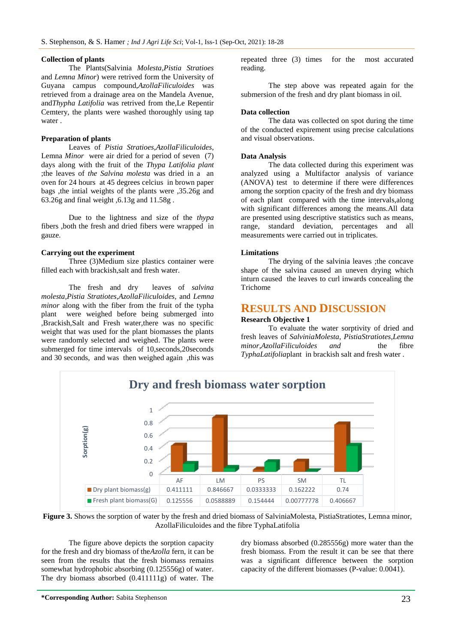#### **Collection of plants**

The Plants(Salvinia *Molesta,Pistia Stratioes*  and *Lemna Minor*) were retrived form the University of Guyana campus compound,*AzollaFiliculoides* was retrieved from a drainage area on the Mandela Avenue, and*Thypha Latifolia* was retrived from the,Le Repentir Cemtery, the plants were washed thoroughly using tap water .

#### **Preparation of plants**

Leaves of *Pistia Stratioes,AzollaFiliculoides*, Lemna *Minor* were air dried for a period of seven (7) days along with the fruit of the *Thypa Latifolia plant* ;the leaves of *the Salvina molesta* was dried in a an oven for 24 hours at 45 degrees celcius in brown paper bags ,the intial weights of the plants were ,35.26g and 63.26g and final weight ,6.13g and 11.58g .

Due to the lightness and size of the *thypa* fibers ,both the fresh and dried fibers were wrapped in gauze.

#### **Carrying out the experiment**

Three (3)Medium size plastics container were filled each with brackish,salt and fresh water.

The fresh and dry leaves of *salvina molesta,Pistia Stratiotes,AzollaFiliculoides,* and *Lemna minor* along with the fiber from the fruit of the typha plant were weighed before being submerged into ,Brackish,Salt and Fresh water,there was no specific weight that was used for the plant biomasses the plants were randomly selected and weighed. The plants were submerged for time intervals of 10,seconds,20seconds and 30 seconds, and was then weighed again ,this was

repeated three (3) times for the most accurated reading.

The step above was repeated again for the submersion of the fresh and dry plant biomass in oil.

#### **Data collection**

The data was collected on spot during the time of the conducted expirement using precise calculations and visual observations.

#### **Data Analysis**

The data collected during this experiment was analyzed using a Multifactor analysis of variance (ANOVA) test to determine if there were differences among the sorption cpacity of the fresh and dry biomass of each plant compared with the time intervals,along with significant differences among the means.All data are presented using descriptive statistics such as means, range, standard deviation, percentages and all measurements were carried out in triplicates.

#### **Limitations**

The drying of the salvinia leaves ;the concave shape of the salvina caused an uneven drying which inturn caused the leaves to curl inwards concealing the Trichome

## **RESULTS AND DISCUSSION**

**Research Objective 1**

To evaluate the water sorptivity of dried and fresh leaves of *SalviniaMolesta, PistiaStratiotes,Lemna minor,AzollaFiliculoides and* the fibre *TyphaLatifolia*plant in brackish salt and fresh water .



**Figure 3.** Shows the sorption of water by the fresh and dried biomass of SalviniaMolesta, PistiaStratiotes, Lemna minor, AzollaFiliculoides and the fibre TyphaLatifolia

The figure above depicts the sorption capacity for the fresh and dry biomass of the*Azolla* fern, it can be seen from the results that the fresh biomass remains somewhat hydrophobic absorbing (0.125556g) of water. The dry biomass absorbed (0.411111g) of water. The

dry biomass absorbed (0.285556g) more water than the fresh biomass. From the result it can be see that there was a significant difference between the sorption capacity of the different biomasses (P-value: 0.0041).

**\*Corresponding Author:** Sabita Stephenson 23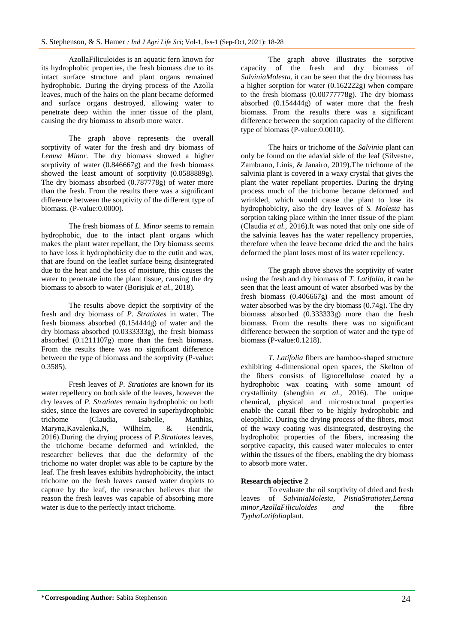AzollaFiliculoides is an aquatic fern known for its hydrophobic properties, the fresh biomass due to its intact surface structure and plant organs remained hydrophobic. During the drying process of the Azolla leaves, much of the hairs on the plant became deformed and surface organs destroyed, allowing water to penetrate deep within the inner tissue of the plant, causing the dry biomass to absorb more water.

The graph above represents the overall sorptivity of water for the fresh and dry biomass of *Lemna Minor.* The dry biomass showed a higher sorptivity of water (0.846667g) and the fresh biomass showed the least amount of sorptivity (0.0588889g). The dry biomass absorbed (0.787778g) of water more than the fresh. From the results there was a significant difference between the sorptivity of the different type of biomass. (P-value:0.0000).

The fresh biomass of *L. Minor* seems to remain hydrophobic, due to the intact plant organs which makes the plant water repellant, the Dry biomass seems to have loss it hydrophobicity due to the cutin and wax, that are found on the leaflet surface being disintegrated due to the heat and the loss of moisture, this causes the water to penetrate into the plant tissue, causing the dry biomass to absorb to water (Borisjuk *et al.,* 2018).

The results above depict the sorptivity of the fresh and dry biomass of *P. Stratiotes* in water. The fresh biomass absorbed (0.154444g) of water and the dry biomass absorbed (0.0333333g), the fresh biomass absorbed (0.1211107g) more than the fresh biomass. From the results there was no significant difference between the type of biomass and the sorptivity (P-value: 0.3585).

Fresh leaves of *P. Stratiotes* are known for its water repellency on both side of the leaves, however the dry leaves of *P. Stratiotes* remain hydrophobic on both sides, since the leaves are covered in superhydrophobic trichome (Claudia, Isabelle, Matthias, Maryna,Kavalenka,N, Wilhelm, & Hendrik, 2016).During the drying process of *P.Stratiotes* leaves, the trichome became deformed and wrinkled, the researcher believes that due the deformity of the trichome no water droplet was able to be capture by the leaf. The fresh leaves exhibits hydrophobicity, the intact trichome on the fresh leaves caused water droplets to capture by the leaf, the researcher believes that the reason the fresh leaves was capable of absorbing more water is due to the perfectly intact trichome.

The graph above illustrates the sorptive capacity of the fresh and dry biomass of *SalviniaMolesta*, it can be seen that the dry biomass has a higher sorption for water (0.162222g) when compare to the fresh biomass (0.00777778g). The dry biomass absorbed (0.154444g) of water more that the fresh biomass. From the results there was a significant difference between the sorption capacity of the different type of biomass (P-value:0.0010).

The hairs or trichome of the *Salvinia* plant can only be found on the adaxial side of the leaf (Silvestre, Zambrano, Linis, & Janairo, 2019).The trichome of the salvinia plant is covered in a waxy crystal that gives the plant the water repellant properties. During the drying process much of the trichome became deformed and wrinkled, which would cause the plant to lose its hydrophobicity, also the dry leaves of *S. Molesta* has sorption taking place within the inner tissue of the plant (Claudia *et al.,* 2016).It was noted that only one side of the salvinia leaves has the water repellency properties, therefore when the leave become dried the and the hairs deformed the plant loses most of its water repellency.

The graph above shows the sorptivity of water using the fresh and dry biomass of *T. Latifolia*, it can be seen that the least amount of water absorbed was by the fresh biomass (0.406667g) and the most amount of water absorbed was by the dry biomass (0.74g). The dry biomass absorbed (0.333333g) more than the fresh biomass. From the results there was no significant difference between the sorption of water and the type of biomass (P-value:0.1218).

*T. Latifolia* fibers are bamboo-shaped structure exhibiting 4-dimensional open spaces, the Skelton of the fibers consists of lignocellulose coated by a hydrophobic wax coating with some amount of crystallinity (shengbin *et al.,* 2016). The unique chemical, physical and microstructural properties enable the cattail fiber to be highly hydrophobic and oleophilic. During the drying process of the fibers, most of the waxy coating was disintegrated, destroying the hydrophobic properties of the fibers, increasing the sorptive capacity, this caused water molecules to enter within the tissues of the fibers, enabling the dry biomass to absorb more water.

#### **Research objective 2**

To evaluate the oil sorptivity of dried and fresh leaves of *SalviniaMolesta, PistiaStratiotes,Lemna minor,AzollaFiliculoides and* the fibre *TyphaLatifolia*plant.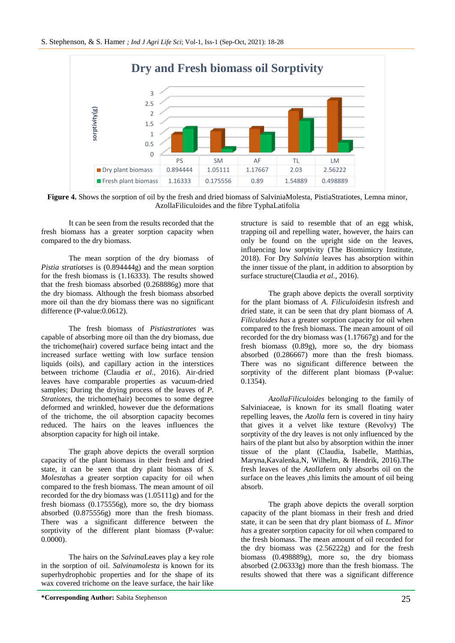

**Figure 4.** Shows the sorption of oil by the fresh and dried biomass of SalviniaMolesta, PistiaStratiotes, Lemna minor, AzollaFiliculoides and the fibre TyphaLatifolia

It can be seen from the results recorded that the fresh biomass has a greater sorption capacity when compared to the dry biomass.

The mean sorption of the dry biomass of *Pistia stratiotses* is (0.894444g) and the mean sorption for the fresh biomass is (1.16333). The results showed that the fresh biomass absorbed (0.268886g) more that the dry biomass. Although the fresh biomass absorbed more oil than the dry biomass there was no significant difference (P-value:0.0612).

The fresh biomass of *Pistiastratiotes* was capable of absorbing more oil than the dry biomass, due the trichome(hair) covered surface being intact and the increased surface wetting with low surface tension liquids (oils), and capillary action in the interstices between trichome (Claudia *et al.,* 2016). Air-dried leaves have comparable properties as vacuum-dried samples; During the drying process of the leaves of *P. Stratiotes*, the trichome(hair) becomes to some degree deformed and wrinkled, however due the deformations of the trichome, the oil absorption capacity becomes reduced. The hairs on the leaves influences the absorption capacity for high oil intake.

The graph above depicts the overall sorption capacity of the plant biomass in their fresh and dried state, it can be seen that dry plant biomass of *S. Molesta*has a greater sorption capacity for oil when compared to the fresh biomass. The mean amount of oil recorded for the dry biomass was (1.05111g) and for the fresh biomass (0.175556g), more so, the dry biomass absorbed (0.875556g) more than the fresh biomass. There was a significant difference between the sorptivity of the different plant biomass (P-value: 0.0000).

The hairs on the *Salvina*Leaves play a key role in the sorption of oil. *Salvinamolesta* is known for its superhydrophobic properties and for the shape of its wax covered trichome on the leave surface, the hair like

structure is said to resemble that of an egg whisk, trapping oil and repelling water, however, the hairs can only be found on the upright side on the leaves, influencing low sorptivity (The Biomimicry Institute, 2018). For Dry *Salvinia* leaves has absorption within the inner tissue of the plant, in addition to absorption by surface structure(Claudia *et al.,* 2016).

The graph above depicts the overall sorptivity for the plant biomass of *A. Filiculoides*in itsfresh and dried state, it can be seen that dry plant biomass of *A. Filiculoides has* a greater sorption capacity for oil when compared to the fresh biomass. The mean amount of oil recorded for the dry biomass was (1.17667g) and for the fresh biomass (0.89g), more so, the dry biomass absorbed (0.286667) more than the fresh biomass. There was no significant difference between the sorptivity of the different plant biomass (P-value: 0.1354).

*AzollaFiliculoides* belonging to the family of Salviniaceae, is known for its small floating water repelling leaves, the *Azolla* fern is covered in tiny hairy that gives it a velvet like texture (Revolvy) The sorptivity of the dry leaves is not only influenced by the hairs of the plant but also by absorption within the inner tissue of the plant (Claudia, Isabelle, Matthias, Maryna,Kavalenka,N, Wilhelm, & Hendrik, 2016).The fresh leaves of the *Azolla*fern only absorbs oil on the surface on the leaves , this limits the amount of oil being absorb.

The graph above depicts the overall sorption capacity of the plant biomass in their fresh and dried state, it can be seen that dry plant biomass of *L. Minor has* a greater sorption capacity for oil when compared to the fresh biomass. The mean amount of oil recorded for the dry biomass was (2.56222g) and for the fresh biomass (0.498889g), more so, the dry biomass absorbed (2.06333g) more than the fresh biomass. The results showed that there was a significant difference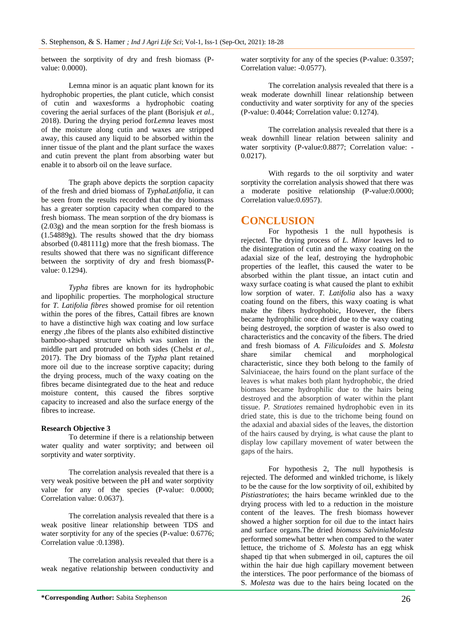between the sorptivity of dry and fresh biomass (Pvalue: 0.0000).

Lemna minor is an aquatic plant known for its hydrophobic properties, the plant cuticle, which consist of cutin and waxesforms a hydrophobic coating covering the aerial surfaces of the plant (Borisjuk *et al.,* 2018). During the drying period for*Lemna* leaves most of the moisture along cutin and waxes are stripped away, this caused any liquid to be absorbed within the inner tissue of the plant and the plant surface the waxes and cutin prevent the plant from absorbing water but enable it to absorb oil on the leave surface.

The graph above depicts the sorption capacity of the fresh and dried biomass of *TyphaLatifolia,* it can be seen from the results recorded that the dry biomass has a greater sorption capacity when compared to the fresh biomass. The mean sorption of the dry biomass is (2.03g) and the mean sorption for the fresh biomass is (1.54889g). The results showed that the dry biomass absorbed (0.481111g) more that the fresh biomass. The results showed that there was no significant difference between the sorptivity of dry and fresh biomass(Pvalue: 0.1294).

*Typha* fibres are known for its hydrophobic and lipophilic properties. The morphological structure for *T. Latifolia fibres* showed promise for oil retention within the pores of the fibres, Cattail fibres are known to have a distinctive high wax coating and low surface energy ,the fibres of the plants also exhibited distinctive bamboo-shaped structure which was sunken in the middle part and protruded on both sides (Chelst *et al.,* 2017). The Dry biomass of the *Typha* plant retained more oil due to the increase sorptive capacity; during the drying process, much of the waxy coating on the fibres became disintegrated due to the heat and reduce moisture content, this caused the fibres sorptive capacity to increased and also the surface energy of the fibres to increase.

## **Research Objective 3**

To determine if there is a relationship between water quality and water sorptivity; and between oil sorptivity and water sorptivity.

The correlation analysis revealed that there is a very weak positive between the pH and water sorptivity value for any of the species (P-value: 0.0000; Correlation value: 0.0637).

The correlation analysis revealed that there is a weak positive linear relationship between TDS and water sorptivity for any of the species (P-value: 0.6776; Correlation value :0.1398).

The correlation analysis revealed that there is a weak negative relationship between conductivity and water sorptivity for any of the species (P-value: 0.3597; Correlation value: -0.0577).

The correlation analysis revealed that there is a weak moderate downhill linear relationship between conductivity and water sorptivity for any of the species (P-value: 0.4044; Correlation value: 0.1274).

The correlation analysis revealed that there is a weak downhill linear relation between salinity and water sorptivity (P-value: 0.8877; Correlation value: -0.0217).

With regards to the oil sorptivity and water sorptivity the correlation analysis showed that there was a moderate positive relationship (P-value:0.0000; Correlation value:0.6957).

# **CONCLUSION**

For hypothesis 1 the null hypothesis is rejected. The drying process of *L. Minor* leaves led to the disintegration of cutin and the waxy coating on the adaxial size of the leaf, destroying the hydrophobic properties of the leaflet, this caused the water to be absorbed within the plant tissue, an intact cutin and waxy surface coating is what caused the plant to exhibit low sorption of water. *T. Latifolia* also has a waxy coating found on the fibers, this waxy coating is what make the fibers hydrophobic, However, the fibers became hydrophilic once dried due to the waxy coating being destroyed, the sorption of waster is also owed to characteristics and the concavity of the fibers. The dried and fresh biomass of *A. Filiculoides* and *S. Molesta* share similar chemical and morphological characteristic, since they both belong to the family of Salviniaceae, the hairs found on the plant surface of the leaves is what makes both plant hydrophobic, the dried biomass became hydrophilic due to the hairs being destroyed and the absorption of water within the plant tissue. *P. Stratiotes* remained hydrophobic even in its dried state, this is due to the trichome being found on the adaxial and abaxial sides of the leaves, the distortion of the hairs caused by drying, is what cause the plant to display low capillary movement of water between the gaps of the hairs.

For hypothesis 2, The null hypothesis is rejected. The deformed and winkled trichome, is likely to be the cause for the low sorptivity of oil, exhibited by *Pistiastratiotes*; the hairs became wrinkled due to the drying process with led to a reduction in the moisture content of the leaves. The fresh biomass however showed a higher sorption for oil due to the intact hairs and surface organs.The dried *biomass SalviniaMolesta* performed somewhat better when compared to the water lettuce, the trichome of *S. Molesta* has an egg whisk shaped tip that when submerged in oil, captures the oil within the hair due high capillary movement between the interstices. The poor performance of the biomass of S*. Molesta* was due to the hairs being located on the

**<sup>\*</sup>Corresponding Author:** Sabita Stephenson 26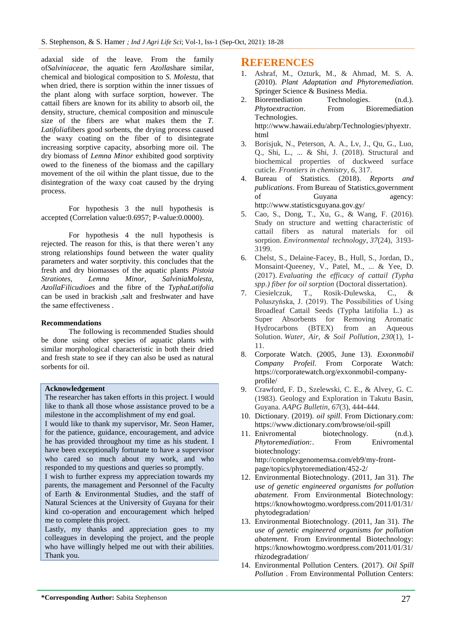adaxial side of the leave. From the family of*Salviniaceae*, the aquatic fern *Azolla*share similar, chemical and biological composition to *S. Molesta*, that when dried, there is sorption within the inner tissues of the plant along with surface sorption, however. The cattail fibers are known for its ability to absorb oil, the density, structure, chemical composition and minuscule size of the fibers are what makes them the *T. Latifolia*fibers good sorbents, the drying process caused the waxy coating on the fiber of to disintegrate increasing sorptive capacity, absorbing more oil. The dry biomass of *Lemna Minor* exhibited good sorptivity owed to the fineness of the biomass and the capillary movement of the oil within the plant tissue, due to the disintegration of the waxy coat caused by the drying process.

For hypothesis 3 the null hypothesis is accepted (Correlation value:0.6957; P-value:0.0000).

For hypothesis 4 the null hypothesis is rejected. The reason for this, is that there weren't any strong relationships found between the water quality parameters and water sorptivity. this concludes that the fresh and dry biomasses of the aquatic plants *Pistoia Stratiotes, Lemna Minor, SalviniaMolesta, AzollaFilicudioes* and the fibre of the *TyphaLatifolia* can be used in brackish ,salt and freshwater and have the same effectiveness .

#### **Recommendations**

The following is recommended Studies should be done using other species of aquatic plants with similar morphological characteristic in both their dried and fresh state to see if they can also be used as natural sorbents for oil.

## **Acknowledgement**

The researcher has taken efforts in this project. I would like to thank all those whose assistance proved to be a milestone in the accomplishment of my end goal.

I would like to thank my supervisor, Mr. Seon Hamer, for the patience, guidance, encouragement, and advice he has provided throughout my time as his student. I have been exceptionally fortunate to have a supervisor who cared so much about my work, and who responded to my questions and queries so promptly.

I wish to further express my appreciation towards my parents, the management and Personnel of the Faculty of Earth & Environmental Studies, and the staff of Natural Sciences at the University of Guyana for their kind co-operation and encouragement which helped me to complete this project.

Lastly, my thanks and appreciation goes to my colleagues in developing the project, and the people who have willingly helped me out with their abilities. Thank you.

## **REFERENCES**

- 1. Ashraf, M., Ozturk, M., & Ahmad, M. S. A. (2010). *Plant Adaptation and Phytoremediation.* Springer Science & Business Media.
- 2. Bioremediation Technologies. (n.d.). *Phytoextraction*. From Bioremediation Technologies. http://www.hawaii.edu/abrp/Technologies/phyextr. html
- 3. Borisjuk, N., Peterson, A. A., Lv, J., Qu, G., Luo, Q., Shi, L., ... & Shi, J. (2018). Structural and biochemical properties of duckweed surface cuticle. *Frontiers in chemistry*, *6*, 317.
- 4. Bureau of Statistics. (2018). *Reports and publications*. From Bureau of Statistics,government of Guyana agency: http://www.statisticsguyana.gov.gy/
- 5. Cao, S., Dong, T., Xu, G., & Wang, F. (2016). Study on structure and wetting characteristic of cattail fibers as natural materials for oil sorption. *Environmental technology*, *37*(24), 3193- 3199.
- 6. Chelst, S., Delaine-Facey, B., Hull, S., Jordan, D., Monsaint-Queeney, V., Patel, M., ... & Yee, D. (2017). *Evaluating the efficacy of cattail (Typha spp.) fiber for oil sorption* (Doctoral dissertation).
- 7. Ciesielczuk, T., Rosik-Dulewska, C., & Poluszyńska, J. (2019). The Possibilities of Using Broadleaf Cattail Seeds (Typha latifolia L.) as Super Absorbents for Removing Aromatic Hydrocarbons (BTEX) from an Aqueous Solution. *Water, Air, & Soil Pollution*, *230*(1), 1- 11.
- 8. Corporate Watch. (2005, June 13). *Exxonmobil Company Profeil*. From Corporate Watch: https://corporatewatch.org/exxonmobil-companyprofile/
- 9. Crawford, F. D., Szelewski, C. E., & Alvey, G. C. (1983). Geology and Exploration in Takutu Basin, Guyana. *AAPG Bulletin*, *67*(3), 444-444.
- 10. Dictionary. (2019). *oil spill*. From Dictionary.com: https://www.dictionary.com/browse/oil-spill
- 11. Enivromental biotechnology. (n.d.). *Phytoremediation:*. From Enivromental biotechnology: http://complexgenomemsa.com/eb9/my-frontpage/topics/phytoremediation/452-2/
- 12. Environmental Biotechnology. (2011, Jan 31). *The use of genetic engineered organisms for pollution abatement*. From Environmental Biotechnology: https://knowhowtogmo.wordpress.com/2011/01/31/ phytodegradation/
- 13. Environmental Biotechnology. (2011, Jan 31). *The use of genetic engineered organisms for pollution abatement*. From Environmental Biotechnology: https://knowhowtogmo.wordpress.com/2011/01/31/ rhizodegradation/
- 14. Environmental Pollution Centers. (2017). *Oil Spill Pollution* . From Environmental Pollution Centers: